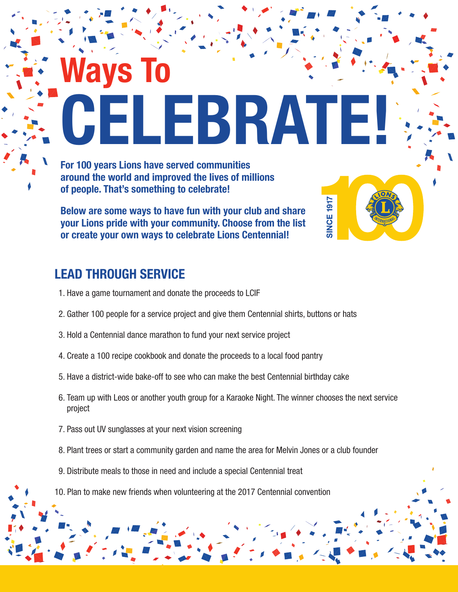**Ways To CELEBRATE!**

**SINCE 1917** 

**For 100 years Lions have served communities around the world and improved the lives of millions of people. That's something to celebrate!**

**Below are some ways to have fun with your club and share your Lions pride with your community. Choose from the list or create your own ways to celebrate Lions Centennial!**

## **LEAD THROUGH SERVICE**

- 1. Have a game tournament and donate the proceeds to LCIF
- 2. Gather 100 people for a service project and give them Centennial shirts, buttons or hats
- 3. Hold a Centennial dance marathon to fund your next service project
- 4. Create a 100 recipe cookbook and donate the proceeds to a local food pantry
- 5. Have a district-wide bake-off to see who can make the best Centennial birthday cake
- 6. Team up with Leos or another youth group for a Karaoke Night. The winner chooses the next service project
- 7. Pass out UV sunglasses at your next vision screening
- 8. Plant trees or start a community garden and name the area for Melvin Jones or a club founder
- 9. Distribute meals to those in need and include a special Centennial treat
- 10. Plan to make new friends when volunteering at the 2017 Centennial convention